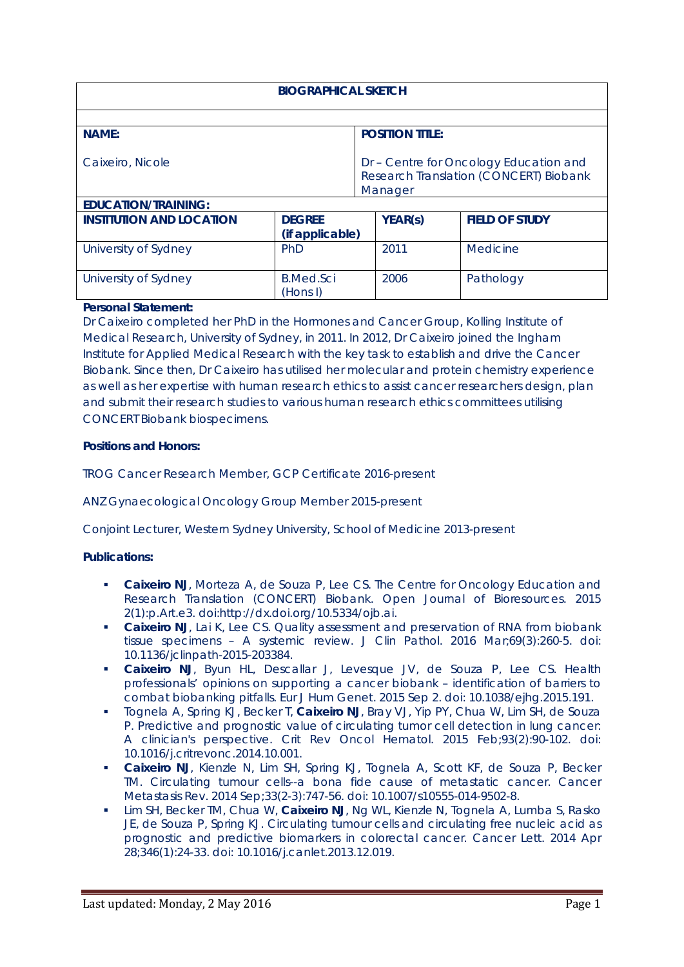| <b>BIOGRAPHICAL SKETCH</b>      |                              |                                                                                             |                       |
|---------------------------------|------------------------------|---------------------------------------------------------------------------------------------|-----------------------|
| <b>NAME:</b>                    |                              | <b>POSITION TITLE:</b>                                                                      |                       |
| Caixeiro, Nicole                |                              | Dr - Centre for Oncology Education and<br>Research Translation (CONCERT) Biobank<br>Manager |                       |
| <b>EDUCATION/TRAINING:</b>      |                              |                                                                                             |                       |
| <b>INSTITUTION AND LOCATION</b> | <b>DEGREE</b>                | <b>YEAR(s)</b>                                                                              | <b>FIELD OF STUDY</b> |
|                                 | (if applicable)              |                                                                                             |                       |
| University of Sydney            | PhD                          | 2011                                                                                        | Medicine              |
| University of Sydney            | <b>B.Med.Sci</b><br>(Hons I) | 2006                                                                                        | Pathology             |

## **Personal Statement:**

Dr Caixeiro completed her PhD in the Hormones and Cancer Group, Kolling Institute of Medical Research, University of Sydney, in 2011. In 2012, Dr Caixeiro joined the Ingham Institute for Applied Medical Research with the key task to establish and drive the Cancer Biobank. Since then, Dr Caixeiro has utilised her molecular and protein chemistry experience as well as her expertise with human research ethics to assist cancer researchers design, plan and submit their research studies to various human research ethics committees utilising CONCERT Biobank biospecimens.

## **Positions and Honors:**

TROG Cancer Research Member, GCP Certificate 2016-present

ANZ Gynaecological Oncology Group Member 2015-present

Conjoint Lecturer, Western Sydney University, School of Medicine 2013-present

## **Publications:**

- **Caixeiro NJ**, Morteza A, de Souza P, Lee CS. The Centre for Oncology Education and Research Translation (CONCERT) Biobank. Open Journal of Bioresources. 2015 2(1):p.Art.e3. doi:http://dx.doi.org/10.5334/ojb.ai.
- **Caixeiro NJ**, Lai K, Lee CS. Quality assessment and preservation of RNA from biobank tissue specimens – A systemic review. J Clin Pathol. 2016 Mar;69(3):260-5. doi: 10.1136/jclinpath-2015-203384.
- **Caixeiro NJ**, Byun HL, Descallar J, Levesque JV, de Souza P, Lee CS. Health professionals' opinions on supporting a cancer biobank – identification of barriers to combat biobanking pitfalls. Eur J Hum Genet. 2015 Sep 2. doi: 10.1038/ejhg.2015.191.
- Tognela A, Spring KJ, Becker T, **Caixeiro NJ**, Bray VJ, Yip PY, Chua W, Lim SH, de Souza P. [Predictive and prognostic value of circulating tumor cell detection in lung cancer:](http://www.ncbi.nlm.nih.gov/pubmed/25459665)  [A clinician's perspective.](http://www.ncbi.nlm.nih.gov/pubmed/25459665) Crit Rev Oncol Hematol. 2015 Feb;93(2):90-102. doi: 10.1016/j.critrevonc.2014.10.001.
- **Caixeiro NJ**, Kienzle N, Lim SH, Spring KJ, Tognela A, Scott KF, de Souza P, Becker TM. [Circulating tumour cells--a bona fide cause of metastatic cancer.](http://www.ncbi.nlm.nih.gov/pubmed/24817039) Cancer Metastasis Rev. 2014 Sep;33(2-3):747-56. doi: 10.1007/s10555-014-9502-8.
- Lim SH, Becker TM, Chua W, **Caixeiro NJ**, Ng WL, Kienzle N, Tognela A, Lumba S, Rasko JE, de Souza P, Spring KJ. [Circulating tumour cells and circulating free nucleic acid as](http://www.ncbi.nlm.nih.gov/pubmed/24368189)  [prognostic and predictive biomarkers in colorectal cancer.](http://www.ncbi.nlm.nih.gov/pubmed/24368189) Cancer Lett. 2014 Apr 28;346(1):24-33. doi: 10.1016/j.canlet.2013.12.019.